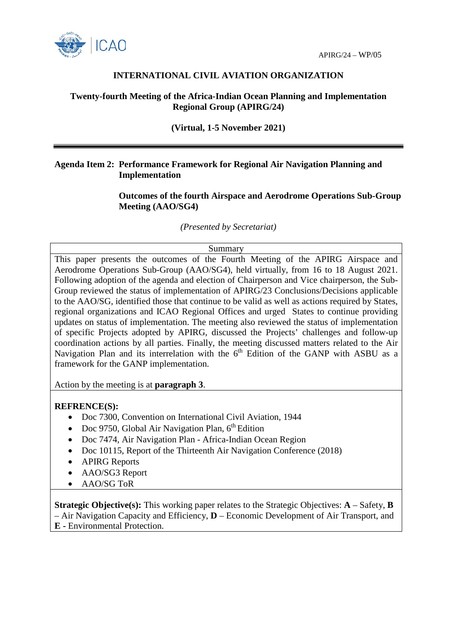



# **INTERNATIONAL CIVIL AVIATION ORGANIZATION**

# **Twenty-fourth Meeting of the Africa-Indian Ocean Planning and Implementation Regional Group (APIRG/24)**

# **(Virtual, 1-5 November 2021)**

# **Agenda Item 2: Performance Framework for Regional Air Navigation Planning and Implementation**

**Outcomes of the fourth Airspace and Aerodrome Operations Sub-Group Meeting (AAO/SG4)**

*(Presented by Secretariat)*

#### Summary

This paper presents the outcomes of the Fourth Meeting of the APIRG Airspace and Aerodrome Operations Sub-Group (AAO/SG4), held virtually, from 16 to 18 August 2021. Following adoption of the agenda and election of Chairperson and Vice chairperson, the Sub-Group reviewed the status of implementation of APIRG/23 Conclusions/Decisions applicable to the AAO/SG, identified those that continue to be valid as well as actions required by States, regional organizations and ICAO Regional Offices and urged States to continue providing updates on status of implementation. The meeting also reviewed the status of implementation of specific Projects adopted by APIRG, discussed the Projects' challenges and follow-up coordination actions by all parties. Finally, the meeting discussed matters related to the Air Navigation Plan and its interrelation with the 6<sup>th</sup> Edition of the GANP with ASBU as a framework for the GANP implementation.

Action by the meeting is at **paragraph 3**.

## **REFRENCE(S):**

- Doc 7300, Convention on International Civil Aviation, 1944
- Doc 9750, Global Air Navigation Plan,  $6<sup>th</sup>$  Edition
- Doc 7474, Air Navigation Plan Africa-Indian Ocean Region
- Doc 10115, Report of the Thirteenth Air Navigation Conference (2018)
- APIRG Reports
- AAO/SG3 Report
- AAO/SG ToR

**Strategic Objective(s):** This working paper relates to the Strategic Objectives: **A** – Safety, **B** – Air Navigation Capacity and Efficiency, **D** – Economic Development of Air Transport, and **E -** Environmental Protection.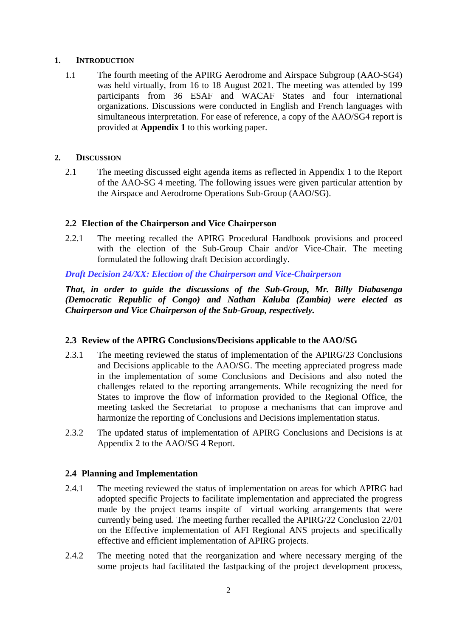## **1. INTRODUCTION**

1.1 The fourth meeting of the APIRG Aerodrome and Airspace Subgroup (AAO-SG4) was held virtually, from 16 to 18 August 2021. The meeting was attended by 199 participants from 36 ESAF and WACAF States and four international organizations. Discussions were conducted in English and French languages with simultaneous interpretation. For ease of reference, a copy of the AAO/SG4 report is provided at **Appendix 1** to this working paper.

### **2. DISCUSSION**

2.1 The meeting discussed eight agenda items as reflected in Appendix 1 to the Report of the AAO-SG 4 meeting. The following issues were given particular attention by the Airspace and Aerodrome Operations Sub-Group (AAO/SG).

### **2.2 Election of the Chairperson and Vice Chairperson**

2.2.1 The meeting recalled the APIRG Procedural Handbook provisions and proceed with the election of the Sub-Group Chair and/or Vice-Chair. The meeting formulated the following draft Decision accordingly.

*Draft Decision 24/XX: Election of the Chairperson and Vice-Chairperson* 

*That, in order to guide the discussions of the Sub-Group, Mr. Billy Diabasenga (Democratic Republic of Congo) and Nathan Kaluba (Zambia) were elected as Chairperson and Vice Chairperson of the Sub-Group, respectively.*

#### **2.3 Review of the APIRG Conclusions/Decisions applicable to the AAO/SG**

- 2.3.1 The meeting reviewed the status of implementation of the APIRG/23 Conclusions and Decisions applicable to the AAO/SG. The meeting appreciated progress made in the implementation of some Conclusions and Decisions and also noted the challenges related to the reporting arrangements. While recognizing the need for States to improve the flow of information provided to the Regional Office, the meeting tasked the Secretariat to propose a mechanisms that can improve and harmonize the reporting of Conclusions and Decisions implementation status.
- 2.3.2 The updated status of implementation of APIRG Conclusions and Decisions is at Appendix 2 to the AAO/SG 4 Report.

## **2.4 Planning and Implementation**

- 2.4.1 The meeting reviewed the status of implementation on areas for which APIRG had adopted specific Projects to facilitate implementation and appreciated the progress made by the project teams inspite of virtual working arrangements that were currently being used. The meeting further recalled the APIRG/22 Conclusion 22/01 on the Effective implementation of AFI Regional ANS projects and specifically effective and efficient implementation of APIRG projects.
- 2.4.2 The meeting noted that the reorganization and where necessary merging of the some projects had facilitated the fastpacking of the project development process,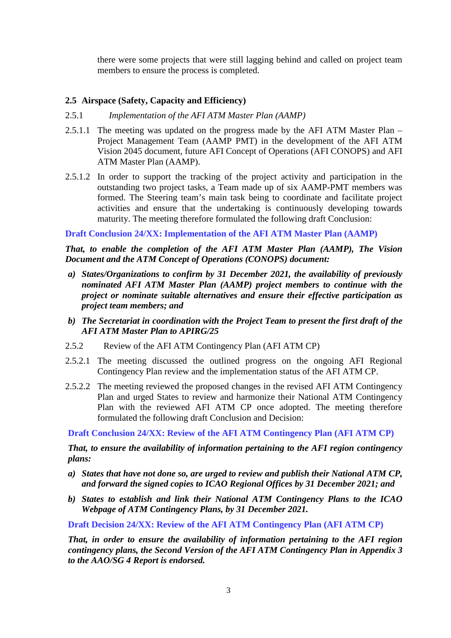there were some projects that were still lagging behind and called on project team members to ensure the process is completed.

# **2.5 Airspace (Safety, Capacity and Efficiency)**

- 2.5.1 *Implementation of the AFI ATM Master Plan (AAMP)*
- 2.5.1.1 The meeting was updated on the progress made by the AFI ATM Master Plan Project Management Team (AAMP PMT) in the development of the AFI ATM Vision 2045 document, future AFI Concept of Operations (AFI CONOPS) and AFI ATM Master Plan (AAMP).
- 2.5.1.2 In order to support the tracking of the project activity and participation in the outstanding two project tasks, a Team made up of six AAMP-PMT members was formed. The Steering team's main task being to coordinate and facilitate project activities and ensure that the undertaking is continuously developing towards maturity. The meeting therefore formulated the following draft Conclusion:

**Draft Conclusion 24/XX: Implementation of the AFI ATM Master Plan (AAMP)**

*That, to enable the completion of the AFI ATM Master Plan (AAMP), The Vision Document and the ATM Concept of Operations (CONOPS) document:*

- *a) States/Organizations to confirm by 31 December 2021, the availability of previously nominated AFI ATM Master Plan (AAMP) project members to continue with the project or nominate suitable alternatives and ensure their effective participation as project team members; and*
- *b) The Secretariat in coordination with the Project Team to present the first draft of the AFI ATM Master Plan to APIRG/25*
- 2.5.2 Review of the AFI ATM Contingency Plan (AFI ATM CP)
- 2.5.2.1 The meeting discussed the outlined progress on the ongoing AFI Regional Contingency Plan review and the implementation status of the AFI ATM CP.
- 2.5.2.2 The meeting reviewed the proposed changes in the revised AFI ATM Contingency Plan and urged States to review and harmonize their National ATM Contingency Plan with the reviewed AFI ATM CP once adopted. The meeting therefore formulated the following draft Conclusion and Decision:

**Draft Conclusion 24/XX: Review of the AFI ATM Contingency Plan (AFI ATM CP)**

*That, to ensure the availability of information pertaining to the AFI region contingency plans:*

- *a) States that have not done so, are urged to review and publish their National ATM CP, and forward the signed copies to ICAO Regional Offices by 31 December 2021; and*
- *b) States to establish and link their National ATM Contingency Plans to the ICAO Webpage of ATM Contingency Plans, by 31 December 2021.*

**Draft Decision 24/XX: Review of the AFI ATM Contingency Plan (AFI ATM CP)**

*That, in order to ensure the availability of information pertaining to the AFI region contingency plans, the Second Version of the AFI ATM Contingency Plan in Appendix 3 to the AAO/SG 4 Report is endorsed.*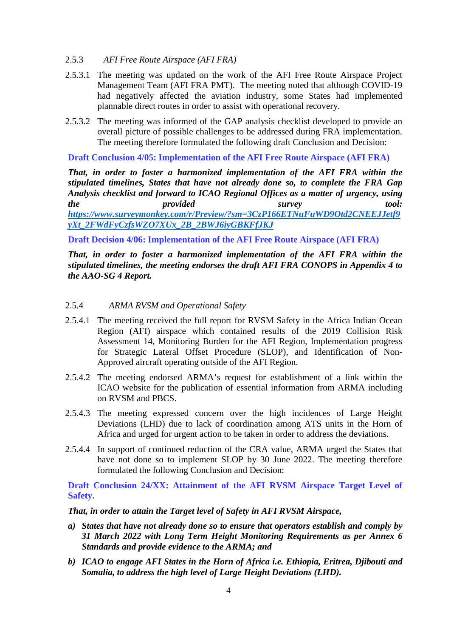- 2.5.3 *AFI Free Route Airspace (AFI FRA)*
- 2.5.3.1 The meeting was updated on the work of the AFI Free Route Airspace Project Management Team (AFI FRA PMT).The meeting noted that although COVID-19 had negatively affected the aviation industry, some States had implemented plannable direct routes in order to assist with operational recovery.
- 2.5.3.2 The meeting was informed of the GAP analysis checklist developed to provide an overall picture of possible challenges to be addressed during FRA implementation. The meeting therefore formulated the following draft Conclusion and Decision:

**Draft Conclusion 4/05: Implementation of the AFI Free Route Airspace (AFI FRA)**

*That, in order to foster a harmonized implementation of the AFI FRA within the stipulated timelines, States that have not already done so, to complete the FRA Gap Analysis checklist and forward to ICAO Regional Offices as a matter of urgency, using the provided survey tool: [https://www.surveymonkey.com/r/Preview/?sm=3CzP166ETNuFuWD9Otd2CNEEJJetf9](https://www.surveymonkey.com/r/Preview/?sm=3CzP166ETNuFuWD9Otd2CNEEJJetf9yXt_2FWdFyCzfsWZO7XUx_2B_2BWJ6iyGBKFfJKJ) [yXt\\_2FWdFyCzfsWZO7XUx\\_2B\\_2BWJ6iyGBKFfJKJ](https://www.surveymonkey.com/r/Preview/?sm=3CzP166ETNuFuWD9Otd2CNEEJJetf9yXt_2FWdFyCzfsWZO7XUx_2B_2BWJ6iyGBKFfJKJ)*

**Draft Decision 4/06: Implementation of the AFI Free Route Airspace (AFI FRA)**

*That, in order to foster a harmonized implementation of the AFI FRA within the stipulated timelines, the meeting endorses the draft AFI FRA CONOPS in Appendix 4 to the AAO-SG 4 Report.*

## 2.5.4 *ARMA RVSM and Operational Safety*

- 2.5.4.1 The meeting received the full report for RVSM Safety in the Africa Indian Ocean Region (AFI) airspace which contained results of the 2019 Collision Risk Assessment 14, Monitoring Burden for the AFI Region, Implementation progress for Strategic Lateral Offset Procedure (SLOP), and Identification of Non-Approved aircraft operating outside of the AFI Region.
- 2.5.4.2 The meeting endorsed ARMA's request for establishment of a link within the ICAO website for the publication of essential information from ARMA including on RVSM and PBCS.
- 2.5.4.3 The meeting expressed concern over the high incidences of Large Height Deviations (LHD) due to lack of coordination among ATS units in the Horn of Africa and urged for urgent action to be taken in order to address the deviations.
- 2.5.4.4 In support of continued reduction of the CRA value, ARMA urged the States that have not done so to implement SLOP by 30 June 2022. The meeting therefore formulated the following Conclusion and Decision:

**Draft Conclusion 24/XX: Attainment of the AFI RVSM Airspace Target Level of Safety.**

*That, in order to attain the Target level of Safety in AFI RVSM Airspace,*

- *a) States that have not already done so to ensure that operators establish and comply by 31 March 2022 with Long Term Height Monitoring Requirements as per Annex 6 Standards and provide evidence to the ARMA; and*
- *b) ICAO to engage AFI States in the Horn of Africa i.e. Ethiopia, Eritrea, Djibouti and Somalia, to address the high level of Large Height Deviations (LHD).*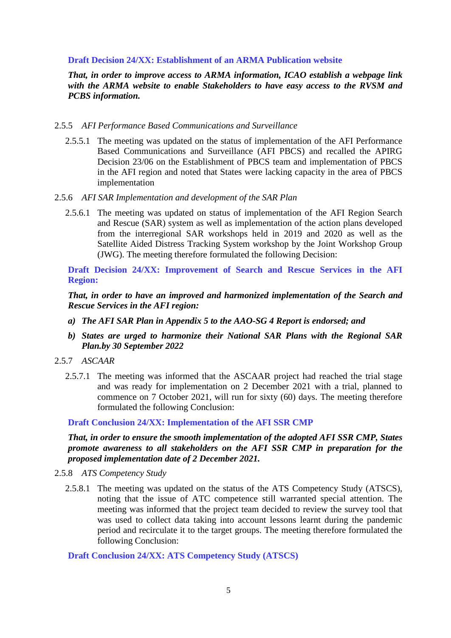### **Draft Decision 24/XX: Establishment of an ARMA Publication website**

*That, in order to improve access to ARMA information, ICAO establish a webpage link with the ARMA website to enable Stakeholders to have easy access to the RVSM and PCBS information.*

#### 2.5.5 *AFI Performance Based Communications and Surveillance*

- 2.5.5.1 The meeting was updated on the status of implementation of the AFI Performance Based Communications and Surveillance (AFI PBCS) and recalled the APIRG Decision 23/06 on the Establishment of PBCS team and implementation of PBCS in the AFI region and noted that States were lacking capacity in the area of PBCS implementation
- 2.5.6 *AFI SAR Implementation and development of the SAR Plan* 
	- 2.5.6.1 The meeting was updated on status of implementation of the AFI Region Search and Rescue (SAR) system as well as implementation of the action plans developed from the interregional SAR workshops held in 2019 and 2020 as well as the Satellite Aided Distress Tracking System workshop by the Joint Workshop Group (JWG). The meeting therefore formulated the following Decision:

**Draft Decision 24/XX: Improvement of Search and Rescue Services in the AFI Region:**

*That, in order to have an improved and harmonized implementation of the Search and Rescue Services in the AFI region:*

- *a) The AFI SAR Plan in Appendix 5 to the AAO-SG 4 Report is endorsed; and*
- *b) States are urged to harmonize their National SAR Plans with the Regional SAR Plan.by 30 September 2022*
- 2.5.7 *ASCAAR*
	- 2.5.7.1 The meeting was informed that the ASCAAR project had reached the trial stage and was ready for implementation on 2 December 2021 with a trial, planned to commence on 7 October 2021, will run for sixty (60) days. The meeting therefore formulated the following Conclusion:

**Draft Conclusion 24/XX: Implementation of the AFI SSR CMP**

*That, in order to ensure the smooth implementation of the adopted AFI SSR CMP, States promote awareness to all stakeholders on the AFI SSR CMP in preparation for the proposed implementation date of 2 December 2021.*

- 2.5.8 *ATS Competency Study*
	- 2.5.8.1 The meeting was updated on the status of the ATS Competency Study (ATSCS), noting that the issue of ATC competence still warranted special attention. The meeting was informed that the project team decided to review the survey tool that was used to collect data taking into account lessons learnt during the pandemic period and recirculate it to the target groups. The meeting therefore formulated the following Conclusion:

**Draft Conclusion 24/XX: ATS Competency Study (ATSCS)**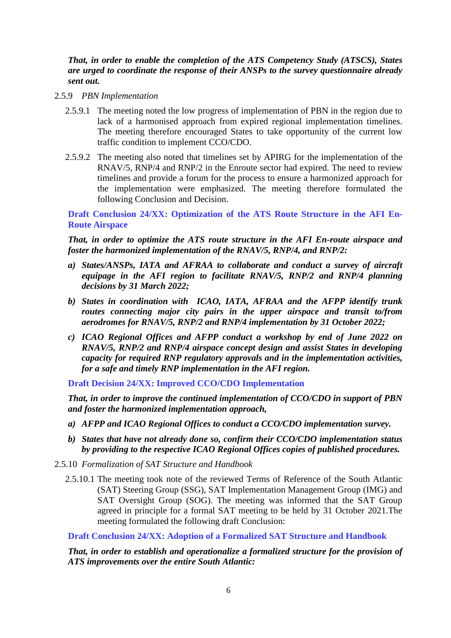*That, in order to enable the completion of the ATS Competency Study (ATSCS), States are urged to coordinate the response of their ANSPs to the survey questionnaire already sent out.*

- 2.5.9 *PBN Implementation*
	- 2.5.9.1 The meeting noted the low progress of implementation of PBN in the region due to lack of a harmonised approach from expired regional implementation timelines. The meeting therefore encouraged States to take opportunity of the current low traffic condition to implement CCO/CDO.
	- 2.5.9.2 The meeting also noted that timelines set by APIRG for the implementation of the RNAV/5, RNP/4 and RNP/2 in the Enroute sector had expired. The need to review timelines and provide a forum for the process to ensure a harmonized approach for the implementation were emphasized. The meeting therefore formulated the following Conclusion and Decision.

**Draft Conclusion 24/XX: Optimization of the ATS Route Structure in the AFI En-Route Airspace**

*That, in order to optimize the ATS route structure in the AFI En-route airspace and foster the harmonized implementation of the RNAV/5, RNP/4, and RNP/2:*

- *a) States/ANSPs, IATA and AFRAA to collaborate and conduct a survey of aircraft equipage in the AFI region to facilitate RNAV/5, RNP/2 and RNP/4 planning decisions by 31 March 2022;*
- *b) States in coordination with ICAO, IATA, AFRAA and the AFPP identify trunk routes connecting major city pairs in the upper airspace and transit to/from aerodromes for RNAV/5, RNP/2 and RNP/4 implementation by 31 October 2022;*
- *c) ICAO Regional Offices and AFPP conduct a workshop by end of June 2022 on RNAV/5, RNP/2 and RNP/4 airspace concept design and assist States in developing capacity for required RNP regulatory approvals and in the implementation activities, for a safe and timely RNP implementation in the AFI region.*

**Draft Decision 24/XX: Improved CCO/CDO Implementation**

*That, in order to improve the continued implementation of CCO/CDO in support of PBN and foster the harmonized implementation approach,* 

- *a) AFPP and ICAO Regional Offices to conduct a CCO/CDO implementation survey.*
- *b) States that have not already done so, confirm their CCO/CDO implementation status by providing to the respective ICAO Regional Offices copies of published procedures.*
- 2.5.10 *Formalization of SAT Structure and Handbook*
	- 2.5.10.1 The meeting took note of the reviewed Terms of Reference of the South Atlantic (SAT) Steering Group (SSG), SAT Implementation Management Group (IMG) and SAT Oversight Group (SOG). The meeting was informed that the SAT Group agreed in principle for a formal SAT meeting to be held by 31 October 2021.The meeting formulated the following draft Conclusion:

**Draft Conclusion 24/XX: Adoption of a Formalized SAT Structure and Handbook**

*That, in order to establish and operationalize a formalized structure for the provision of ATS improvements over the entire South Atlantic:*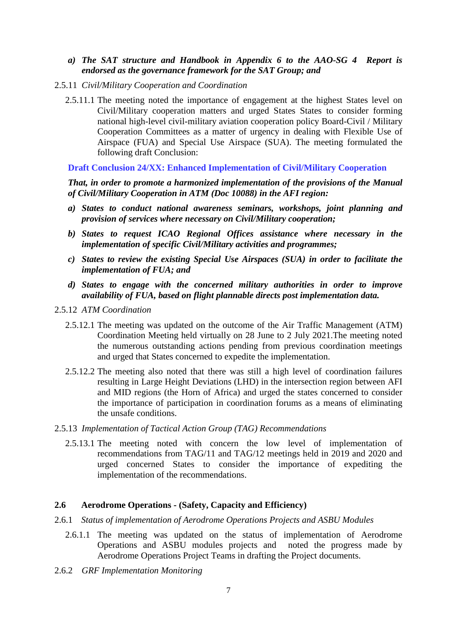### *a) The SAT structure and Handbook in Appendix 6 to the AAO-SG 4 Report is endorsed as the governance framework for the SAT Group; and*

- 2.5.11 *Civil/Military Cooperation and Coordination*
	- 2.5.11.1 The meeting noted the importance of engagement at the highest States level on Civil/Military cooperation matters and urged States States to consider forming national high-level civil-military aviation cooperation policy Board-Civil / Military Cooperation Committees as a matter of urgency in dealing with Flexible Use of Airspace (FUA) and Special Use Airspace (SUA). The meeting formulated the following draft Conclusion:

**Draft Conclusion 24/XX: Enhanced Implementation of Civil/Military Cooperation**

*That, in order to promote a harmonized implementation of the provisions of the Manual of Civil/Military Cooperation in ATM (Doc 10088) in the AFI region:* 

- *a) States to conduct national awareness seminars, workshops, joint planning and provision of services where necessary on Civil/Military cooperation;*
- *b) States to request ICAO Regional Offices assistance where necessary in the implementation of specific Civil/Military activities and programmes;*
- *c) States to review the existing Special Use Airspaces (SUA) in order to facilitate the implementation of FUA; and*
- *d) States to engage with the concerned military authorities in order to improve availability of FUA, based on flight plannable directs post implementation data.*
- 2.5.12 *ATM Coordination*
	- 2.5.12.1 The meeting was updated on the outcome of the Air Traffic Management (ATM) Coordination Meeting held virtually on 28 June to 2 July 2021.The meeting noted the numerous outstanding actions pending from previous coordination meetings and urged that States concerned to expedite the implementation.
	- 2.5.12.2 The meeting also noted that there was still a high level of coordination failures resulting in Large Height Deviations (LHD) in the intersection region between AFI and MID regions (the Horn of Africa) and urged the states concerned to consider the importance of participation in coordination forums as a means of eliminating the unsafe conditions.
- 2.5.13 *Implementation of Tactical Action Group (TAG) Recommendations*
	- 2.5.13.1 The meeting noted with concern the low level of implementation of recommendations from TAG/11 and TAG/12 meetings held in 2019 and 2020 and urged concerned States to consider the importance of expediting the implementation of the recommendations.

## **2.6 Aerodrome Operations - (Safety, Capacity and Efficiency)**

- 2.6.1 *Status of implementation of Aerodrome Operations Projects and ASBU Modules*
	- 2.6.1.1 The meeting was updated on the status of implementation of Aerodrome Operations and ASBU modules projects and noted the progress made by Aerodrome Operations Project Teams in drafting the Project documents.
- 2.6.2 *GRF Implementation Monitoring*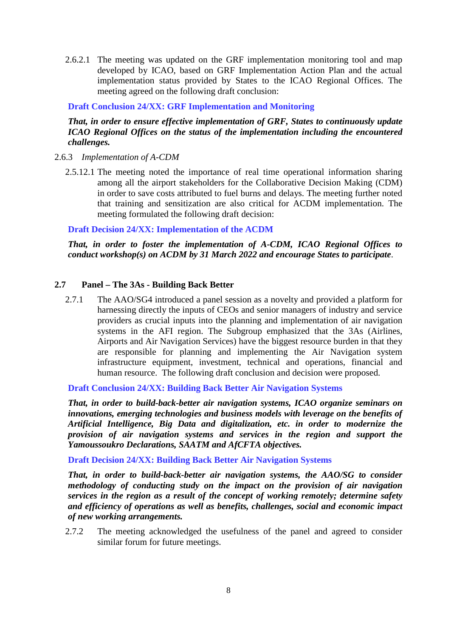2.6.2.1 The meeting was updated on the GRF implementation monitoring tool and map developed by ICAO, based on GRF Implementation Action Plan and the actual implementation status provided by States to the ICAO Regional Offices. The meeting agreed on the following draft conclusion:

**Draft Conclusion 24/XX: GRF Implementation and Monitoring** 

# *That, in order to ensure effective implementation of GRF, States to continuously update ICAO Regional Offices on the status of the implementation including the encountered challenges.*

- 2.6.3 *Implementation of A-CDM*
	- 2.5.12.1 The meeting noted the importance of real time operational information sharing among all the airport stakeholders for the Collaborative Decision Making (CDM) in order to save costs attributed to fuel burns and delays. The meeting further noted that training and sensitization are also critical for ACDM implementation. The meeting formulated the following draft decision:

**Draft Decision 24/XX: Implementation of the ACDM** 

*That, in order to foster the implementation of A-CDM, ICAO Regional Offices to conduct workshop(s) on ACDM by 31 March 2022 and encourage States to participate*.

## **2.7 Panel – The 3As - Building Back Better**

2.7.1 The AAO/SG4 introduced a panel session as a novelty and provided a platform for harnessing directly the inputs of CEOs and senior managers of industry and service providers as crucial inputs into the planning and implementation of air navigation systems in the AFI region. The Subgroup emphasized that the 3As (Airlines, Airports and Air Navigation Services) have the biggest resource burden in that they are responsible for planning and implementing the Air Navigation system infrastructure equipment, investment, technical and operations, financial and human resource. The following draft conclusion and decision were proposed.

**Draft Conclusion 24/XX: Building Back Better Air Navigation Systems**

*That, in order to build-back-better air navigation systems, ICAO organize seminars on innovations, emerging technologies and business models with leverage on the benefits of Artificial Intelligence, Big Data and digitalization, etc. in order to modernize the provision of air navigation systems and services in the region and support the Yamoussoukro Declarations, SAATM and AfCFTA objectives.* 

**Draft Decision 24/XX: Building Back Better Air Navigation Systems**

*That, in order to build-back-better air navigation systems, the AAO/SG to consider methodology of conducting study on the impact on the provision of air navigation services in the region as a result of the concept of working remotely; determine safety and efficiency of operations as well as benefits, challenges, social and economic impact of new working arrangements.*

2.7.2 The meeting acknowledged the usefulness of the panel and agreed to consider similar forum for future meetings.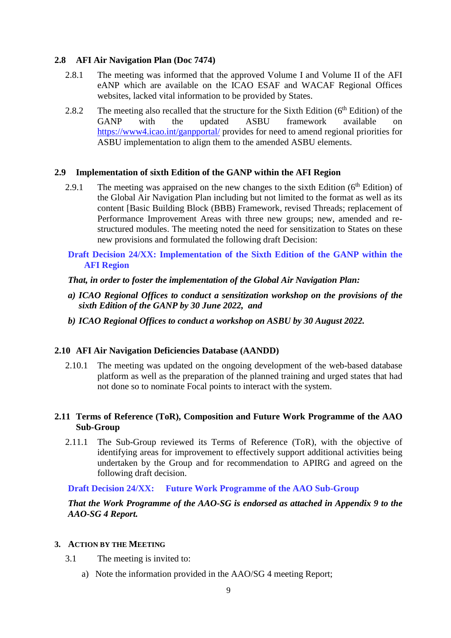# **2.8 AFI Air Navigation Plan (Doc 7474)**

- 2.8.1 The meeting was informed that the approved Volume I and Volume II of the AFI eANP which are available on the ICAO ESAF and WACAF Regional Offices websites, lacked vital information to be provided by States.
- 2.8.2 The meeting also recalled that the structure for the Sixth Edition  $(6<sup>th</sup> Edition)$  of the GANP with the updated ASBU framework available on <https://www4.icao.int/ganpportal/> provides for need to amend regional priorities for ASBU implementation to align them to the amended ASBU elements.

## **2.9 Implementation of sixth Edition of the GANP within the AFI Region**

- 2.9.1 The meeting was appraised on the new changes to the sixth Edition ( $6<sup>th</sup>$  Edition) of the Global Air Navigation Plan including but not limited to the format as well as its content [Basic Building Block (BBB) Framework, revised Threads; replacement of Performance Improvement Areas with three new groups; new, amended and restructured modules. The meeting noted the need for sensitization to States on these new provisions and formulated the following draft Decision:
- **Draft Decision 24/XX: Implementation of the Sixth Edition of the GANP within the AFI Region**

### *That, in order to foster the implementation of the Global Air Navigation Plan:*

- *a) ICAO Regional Offices to conduct a sensitization workshop on the provisions of the sixth Edition of the GANP by 30 June 2022, and*
- *b) ICAO Regional Offices to conduct a workshop on ASBU by 30 August 2022.*

## **2.10 AFI Air Navigation Deficiencies Database (AANDD)**

2.10.1 The meeting was updated on the ongoing development of the web-based database platform as well as the preparation of the planned training and urged states that had not done so to nominate Focal points to interact with the system.

## **2.11 Terms of Reference (ToR), Composition and Future Work Programme of the AAO Sub-Group**

2.11.1 The Sub-Group reviewed its Terms of Reference (ToR), with the objective of identifying areas for improvement to effectively support additional activities being undertaken by the Group and for recommendation to APIRG and agreed on the following draft decision.

## **Draft Decision 24/XX: Future Work Programme of the AAO Sub-Group**

## *That the Work Programme of the AAO-SG is endorsed as attached in Appendix 9 to the AAO-SG 4 Report.*

### **3. ACTION BY THE MEETING**

- 3.1 The meeting is invited to:
	- a) Note the information provided in the AAO/SG 4 meeting Report;